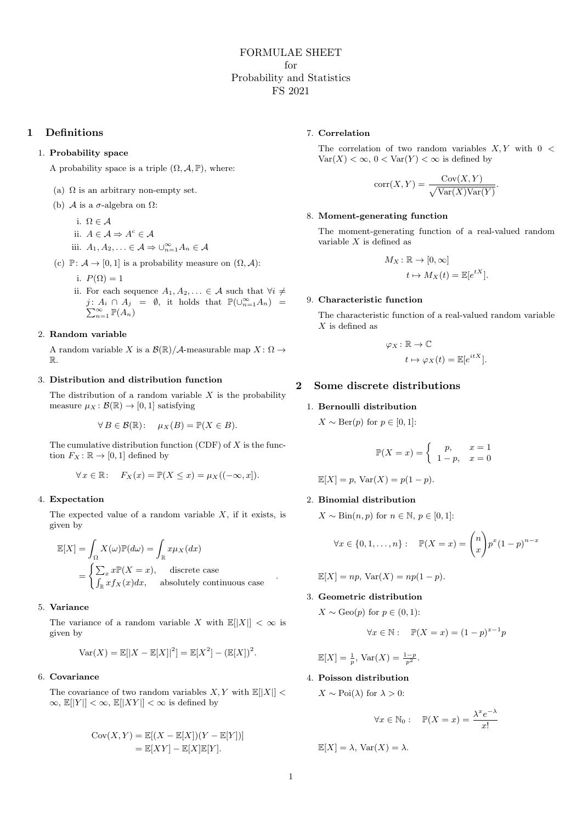# 1 Definitions

## 1. Probability space

A probability space is a triple  $(\Omega, \mathcal{A}, \mathbb{P})$ , where:

- (a)  $\Omega$  is an arbitrary non-empty set.
- (b)  $\mathcal A$  is a  $\sigma$ -algebra on  $\Omega$ :
	- i.  $\Omega \in \mathcal{A}$
	- ii.  $A \in \mathcal{A} \Rightarrow A^c \in \mathcal{A}$
	- iii.  $A_1, A_2, \ldots \in \mathcal{A} \Rightarrow \bigcup_{n=1}^{\infty} A_n \in \mathcal{A}$
- (c)  $\mathbb{P} \colon \mathcal{A} \to [0, 1]$  is a probability measure on  $(\Omega, \mathcal{A})$ :
	- i.  $P(\Omega) = 1$
	- ii. For each sequence  $A_1, A_2, \ldots \in \mathcal{A}$  such that  $\forall i \neq$  $j: A_i \cap A_j = \emptyset$ , it holds that  $\mathbb{P}(\bigcup_{n=1}^{\infty} A_n) = \sum_{n=1}^{\infty} \mathbb{P}(A_n)$  $_{n=1}^{\infty}$   $\mathbb{P}(A_n)$

# 2. Random variable

A random variable X is a  $\mathcal{B}(\mathbb{R})/\mathcal{A}$ -measurable map  $X: \Omega \to$ R.

# 3. Distribution and distribution function

The distribution of a random variable  $X$  is the probability measure  $\mu_X : \mathcal{B}(\mathbb{R}) \to [0,1]$  satisfying

$$
\forall B \in \mathcal{B}(\mathbb{R}) : \quad \mu_X(B) = \mathbb{P}(X \in B).
$$

The cumulative distribution function (CDF) of  $X$  is the function  $F_X : \mathbb{R} \to [0,1]$  defined by

$$
\forall x \in \mathbb{R}: \quad F_X(x) = \mathbb{P}(X \le x) = \mu_X((-\infty, x]).
$$

## 4. Expectation

The expected value of a random variable  $X$ , if it exists, is given by

$$
\mathbb{E}[X] = \int_{\Omega} X(\omega)\mathbb{P}(d\omega) = \int_{\mathbb{R}} x\mu_X(dx)
$$

$$
= \begin{cases} \sum_{x} x\mathbb{P}(X=x), & \text{discrete case} \\ \int_{\mathbb{R}} x f_X(x) dx, & \text{absolutely continuous case} \end{cases}
$$

### 5. Variance

The variance of a random variable X with  $\mathbb{E}[|X|] < \infty$  is given by

$$
Var(X) = \mathbb{E}[|X - \mathbb{E}[X]|^2] = \mathbb{E}[X^2] - (\mathbb{E}[X])^2.
$$

## 6. Covariance

The covariance of two random variables  $X, Y$  with  $\mathbb{E}[|X|] <$  $\infty$ ,  $\mathbb{E}[|Y|] < \infty$ ,  $\mathbb{E}[|XY|] < \infty$  is defined by

$$
Cov(X, Y) = \mathbb{E}[(X - \mathbb{E}[X])(Y - \mathbb{E}[Y])]
$$
  
= 
$$
\mathbb{E}[XY] - \mathbb{E}[X]\mathbb{E}[Y].
$$

### 7. Correlation

The correlation of two random variables  $X, Y$  with  $0 <$  $Var(X) < \infty$ ,  $0 < Var(Y) < \infty$  is defined by

$$
corr(X, Y) = \frac{Cov(X, Y)}{\sqrt{Var(X)Var(Y)}}.
$$

#### 8. Moment-generating function

The moment-generating function of a real-valued random variable  $X$  is defined as

$$
M_X : \mathbb{R} \to [0, \infty]
$$

$$
t \mapsto M_X(t) = \mathbb{E}[e^{tX}].
$$

#### 9. Characteristic function

The characteristic function of a real-valued random variable  $X$  is defined as

$$
\varphi_X \colon \mathbb{R} \to \mathbb{C}
$$

$$
t \mapsto \varphi_X(t) = \mathbb{E}[e^{itX}].
$$

## 2 Some discrete distributions

## 1. Bernoulli distribution

 $X \sim \text{Ber}(p)$  for  $p \in [0, 1]$ :

$$
\mathbb{P}(X=x) = \begin{cases} p, & x = 1\\ 1-p, & x = 0 \end{cases}
$$

$$
\mathbb{E}[X] = p, \text{Var}(X) = p(1 - p).
$$

# 2. Binomial distribution

 $X \sim Bin(n, p)$  for  $n \in \mathbb{N}, p \in [0, 1]$ :

$$
\forall x \in \{0, 1, ..., n\} : \mathbb{P}(X = x) = \binom{n}{x} p^x (1-p)^{n-x}
$$

 $\mathbb{E}[X] = np$ ,  $\text{Var}(X) = np(1-p)$ .

### 3. Geometric distribution

 $X \sim \text{Geo}(p)$  for  $p \in (0,1)$ :

$$
\forall x \in \mathbb{N}: \mathbb{P}(X = x) = (1 - p)^{x - 1}p
$$

$$
\mathbb{E}[X] = \frac{1}{p}, \text{Var}(X) = \frac{1-p}{p^2}.
$$

# 4. Poisson distribution

 $X \sim \text{Poi}(\lambda)$  for  $\lambda > 0$ :

$$
\forall x \in \mathbb{N}_0: \quad \mathbb{P}(X = x) = \frac{\lambda^x e^{-\lambda}}{x!}
$$

 $\mathbb{E}[X] = \lambda$ ,  $\text{Var}(X) = \lambda$ .

.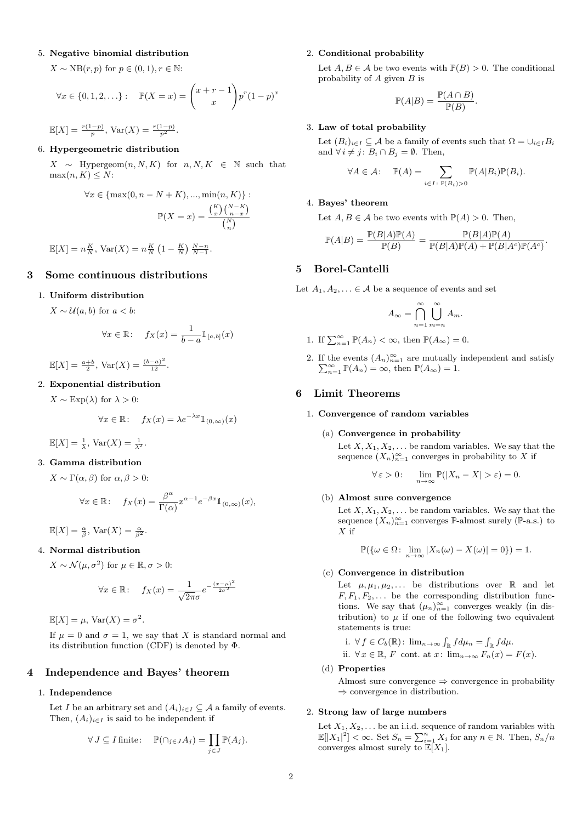### 5. Negative binomial distribution

 $X \sim NB(r, p)$  for  $p \in (0, 1), r \in \mathbb{N}$ :

$$
\forall x \in \{0, 1, 2, ...\} : \mathbb{P}(X = x) = {x + r - 1 \choose x} p^r (1-p)^x
$$

 $\mathbb{E}[X] = \frac{r(1-p)}{p}, \text{Var}(X) = \frac{r(1-p)}{p^2}.$ 

## 6. Hypergeometric distribution

 $X \sim$  Hypergeom $(n, N, K)$  for  $n, N, K \in \mathbb{N}$  such that  $max(n, K) \leq N$ :

$$
\forall x \in \{\max(0, n - N + K), \dots, \min(n, K)\}:
$$

$$
\mathbb{P}(X = x) = \frac{\binom{K}{x} \binom{N - K}{n - x}}{\binom{N}{n}}
$$

 $\mathbb{E}[X] = n\frac{K}{N}, \text{Var}(X) = n\frac{K}{N} \left(1 - \frac{K}{N}\right) \frac{N-n}{N-1}.$ 

# 3 Some continuous distributions

## 1. Uniform distribution

 $X \sim \mathcal{U}(a, b)$  for  $a < b$ :

$$
\forall x \in \mathbb{R}: \quad f_X(x) = \frac{1}{b-a} \mathbb{1}_{[a,b]}(x)
$$

 $\mathbb{E}[X] = \frac{a+b}{2}, \text{Var}(X) = \frac{(b-a)^2}{12}.$ 

# 2. Exponential distribution

 $X \sim \text{Exp}(\lambda)$  for  $\lambda > 0$ :

$$
\forall x \in \mathbb{R}: \quad f_X(x) = \lambda e^{-\lambda x} \mathbb{1}_{(0,\infty)}(x)
$$

$$
\mathbb{E}[X] = \frac{1}{\lambda}, \text{Var}(X) = \frac{1}{\lambda^2}.
$$

## 3. Gamma distribution

 $X \sim \Gamma(\alpha, \beta)$  for  $\alpha, \beta > 0$ :

$$
\forall x \in \mathbb{R}: \quad f_X(x) = \frac{\beta^{\alpha}}{\Gamma(\alpha)} x^{\alpha - 1} e^{-\beta x} \mathbb{1}_{(0,\infty)}(x),
$$

 $\mathbb{E}[X] = \frac{\alpha}{\beta}, \text{Var}(X) = \frac{\alpha}{\beta^2}.$ 

# 4. Normal distribution

 $X \sim \mathcal{N}(\mu, \sigma^2)$  for  $\mu \in \mathbb{R}, \sigma > 0$ :

$$
\forall x \in \mathbb{R}: \quad f_X(x) = \frac{1}{\sqrt{2\pi}\sigma} e^{-\frac{(x-\mu)^2}{2\sigma^2}}
$$

 $\mathbb{E}[X] = \mu$ ,  $\text{Var}(X) = \sigma^2$ .

If  $\mu = 0$  and  $\sigma = 1$ , we say that X is standard normal and its distribution function (CDF) is denoted by  $\Phi$ .

# 4 Independence and Bayes' theorem

#### 1. Independence

Let I be an arbitrary set and  $(A_i)_{i\in I} \subseteq A$  a family of events. Then,  $(A_i)_{i\in I}$  is said to be independent if

$$
\forall J \subseteq I \text{ finite:} \quad \mathbb{P}(\cap_{j \in J} A_j) = \prod_{j \in J} \mathbb{P}(A_j).
$$

### 2. Conditional probability

Let  $A, B \in \mathcal{A}$  be two events with  $\mathbb{P}(B) > 0$ . The conditional probability of  $A$  given  $B$  is

$$
\mathbb{P}(A|B) = \frac{\mathbb{P}(A \cap B)}{\mathbb{P}(B)}.
$$

#### 3. Law of total probability

Let  $(B_i)_{i\in I}\subseteq \mathcal{A}$  be a family of events such that  $\Omega=\cup_{i\in I}B_i$ and  $\forall i \neq j$ :  $B_i \cap B_j = \emptyset$ . Then,

$$
\forall A \in \mathcal{A} : \mathbb{P}(A) = \sum_{i \in I : \mathbb{P}(B_i) > 0} \mathbb{P}(A|B_i)\mathbb{P}(B_i).
$$

#### 4. Bayes' theorem

Let  $A, B \in \mathcal{A}$  be two events with  $\mathbb{P}(A) > 0$ . Then,

$$
\mathbb{P}(A|B) = \frac{\mathbb{P}(B|A)\mathbb{P}(A)}{\mathbb{P}(B)} = \frac{\mathbb{P}(B|A)\mathbb{P}(A)}{\mathbb{P}(B|A)\mathbb{P}(A) + \mathbb{P}(B|A^c)\mathbb{P}(A^c)}.
$$

# 5 Borel-Cantelli

Let  $A_1, A_2, \ldots \in \mathcal{A}$  be a sequence of events and set

$$
A_{\infty} = \bigcap_{n=1}^{\infty} \bigcup_{m=n}^{\infty} A_m.
$$

- 1. If  $\sum_{n=1}^{\infty} \mathbb{P}(A_n) < \infty$ , then  $\mathbb{P}(A_{\infty}) = 0$ .
- 2. If the events  $(A_n)_{n=1}^{\infty}$  are mutually independent and satisfy  $\sum_{n=1}^{\infty} \mathbb{P}(A_n) = \infty$ , then  $\mathbb{P}(A_{\infty}) = 1$ .  $\sum_{n=1}^{\infty} \mathbb{P}(A_n) = \infty$ , then  $\mathbb{P}(A_{\infty}) = 1$ .

## 6 Limit Theorems

## 1. Convergence of random variables

(a) Convergence in probability

Let  $X, X_1, X_2, \ldots$  be random variables. We say that the sequence  $(X_n)_{n=1}^{\infty}$  converges in probability to X if

$$
\forall \varepsilon > 0: \quad \lim_{n \to \infty} \mathbb{P}(|X_n - X| > \varepsilon) = 0.
$$

#### (b) Almost sure convergence

Let  $X, X_1, X_2, \ldots$  be random variables. We say that the sequence  $(X_n)_{n=1}^{\infty}$  converges  $\mathbb{P}\text{-almost surely }(\mathbb{P}\text{-a.s.})$  to  $X$  if

$$
\mathbb{P}(\{\omega \in \Omega \colon \lim_{n \to \infty} |X_n(\omega) - X(\omega)| = 0\}) = 1.
$$

## (c) Convergence in distribution

Let  $\mu, \mu_1, \mu_2, \ldots$  be distributions over  $\mathbb R$  and let  $F, F_1, F_2, \ldots$  be the corresponding distribution functions. We say that  $(\mu_n)_{n=1}^{\infty}$  converges weakly (in distribution) to  $\mu$  if one of the following two equivalent statements is true:

i. 
$$
\forall f \in C_b(\mathbb{R})
$$
:  $\lim_{n \to \infty} \int_{\mathbb{R}} f d\mu_n = \int_{\mathbb{R}} f d\mu$ .  
ii.  $\forall x \in \mathbb{R}, F$  cont. at  $x$ :  $\lim_{n \to \infty} F_n(x) = F(x)$ .

## (d) Properties

Almost sure convergence  $\Rightarrow$  convergence in probability  $\Rightarrow$  convergence in distribution.

## 2. Strong law of large numbers

Let  $X_1, X_2, \ldots$  be an i.i.d. sequence of random variables with  $\mathbb{E}[|X_1|^2] < \infty$ . Set  $S_n = \sum_{i=1}^n X_i$  for any  $n \in \mathbb{N}$ . Then,  $S_n/n$ converges almost surely to  $\mathbb{E}[X_1]$ .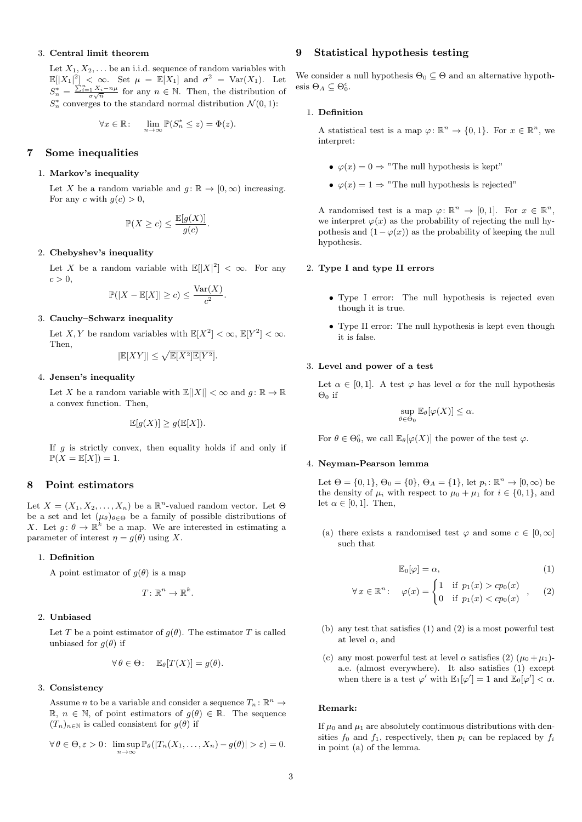## 3. Central limit theorem

Let  $X_1, X_2, \ldots$  be an i.i.d. sequence of random variables with  $\mathbb{E}[|X_1|^2] < \infty$ . Set  $\mu = \mathbb{E}[X_1]$  and  $\sigma^2 = \text{Var}(X_1)$ . Let  $S_n^* = \frac{\sum_{i=1}^n X_i - n\mu}{\sigma\sqrt{n}}$  for any  $n \in \mathbb{N}$ . Then, the distribution of  $S_n^*$  converges to the standard normal distribution  $\mathcal{N}(0,1)$ :

$$
\forall x \in \mathbb{R}: \quad \lim_{n \to \infty} \mathbb{P}(S_n^* \leq z) = \Phi(z).
$$

## 7 Some inequalities

### 1. Markov's inequality

Let X be a random variable and  $g: \mathbb{R} \to [0, \infty)$  increasing. For any c with  $g(c) > 0$ ,

$$
\mathbb{P}(X \ge c) \le \frac{\mathbb{E}[g(X)]}{g(c)}.
$$

## 2. Chebyshev's inequality

Let X be a random variable with  $\mathbb{E}[|X|^2] < \infty$ . For any  $c > 0$ .

$$
\mathbb{P}(|X - \mathbb{E}[X]| \ge c) \le \frac{\text{Var}(X)}{c^2}.
$$

#### 3. Cauchy–Schwarz inequality

Let X, Y be random variables with  $\mathbb{E}[X^2] < \infty$ ,  $\mathbb{E}[Y^2] < \infty$ . Then,

$$
|\mathbb{E}[XY]| \le \sqrt{\mathbb{E}[X^2]\mathbb{E}[Y^2]}.
$$

### 4. Jensen's inequality

Let X be a random variable with  $\mathbb{E}[|X|] < \infty$  and  $q: \mathbb{R} \to \mathbb{R}$ a convex function. Then,

$$
\mathbb{E}[g(X)] \ge g(\mathbb{E}[X]).
$$

If  $q$  is strictly convex, then equality holds if and only if  $\mathbb{P}(X = \mathbb{E}[X]) = 1.$ 

# 8 Point estimators

Let  $X = (X_1, X_2, \ldots, X_n)$  be a  $\mathbb{R}^n$ -valued random vector. Let  $\Theta$ be a set and let  $(\mu_{\theta})_{\theta \in \Theta}$  be a family of possible distributions of X. Let  $g: \theta \to \mathbb{R}^k$  be a map. We are interested in estimating a parameter of interest  $\eta = g(\theta)$  using X.

#### 1. Definition

A point estimator of  $g(\theta)$  is a map

$$
T\colon\mathbb{R}^n\to\mathbb{R}^k.
$$

## 2. Unbiased

Let T be a point estimator of  $g(\theta)$ . The estimator T is called unbiased for  $g(\theta)$  if

$$
\forall \theta \in \Theta \colon \quad \mathbb{E}_{\theta}[T(X)] = g(\theta).
$$

# 3. Consistency

Assume *n* to be a variable and consider a sequence  $T_n: \mathbb{R}^n \to$  $\mathbb{R}, n \in \mathbb{N}$ , of point estimators of  $g(\theta) \in \mathbb{R}$ . The sequence  $(T_n)_{n\in\mathbb{N}}$  is called consistent for  $g(\theta)$  if

$$
\forall \theta \in \Theta, \varepsilon > 0: \ \limsup_{n \to \infty} \mathbb{P}_{\theta}(|T_n(X_1, \dots, X_n) - g(\theta)| > \varepsilon) = 0.
$$

# 9 Statistical hypothesis testing

We consider a null hypothesis  $\Theta_0 \subseteq \Theta$  and an alternative hypothesis  $\Theta_A \subseteq \Theta_0^c$ .

### 1. Definition

A statistical test is a map  $\varphi: \mathbb{R}^n \to \{0,1\}$ . For  $x \in \mathbb{R}^n$ , we interpret:

- $\varphi(x) = 0 \Rightarrow$  "The null hypothesis is kept"
- $\varphi(x) = 1 \Rightarrow$  "The null hypothesis is rejected"

A randomised test is a map  $\varphi: \mathbb{R}^n \to [0,1]$ . For  $x \in \mathbb{R}^n$ , we interpret  $\varphi(x)$  as the probability of rejecting the null hypothesis and  $(1 - \varphi(x))$  as the probability of keeping the null hypothesis.

#### 2. Type I and type II errors

- Type I error: The null hypothesis is rejected even though it is true.
- Type II error: The null hypothesis is kept even though it is false.

#### 3. Level and power of a test

Let  $\alpha \in [0, 1]$ . A test  $\varphi$  has level  $\alpha$  for the null hypothesis  $\Theta_0$  if

$$
\sup_{\theta \in \Theta_0} \mathbb{E}_{\theta}[\varphi(X)] \le \alpha.
$$

For  $\theta \in \Theta_0^c$ , we call  $\mathbb{E}_{\theta}[\varphi(X)]$  the power of the test  $\varphi$ .

#### 4. Neyman-Pearson lemma

Let  $\Theta = \{0, 1\}, \Theta_0 = \{0\}, \Theta_A = \{1\}, \text{ let } p_i : \mathbb{R}^n \to [0, \infty) \text{ be }$ the density of  $\mu_i$  with respect to  $\mu_0 + \mu_1$  for  $i \in \{0, 1\}$ , and let  $\alpha \in [0, 1]$ . Then,

(a) there exists a randomised test  $\varphi$  and some  $c \in [0, \infty]$ such that

$$
\mathbb{E}_0[\varphi] = \alpha,\tag{1}
$$

$$
\forall x \in \mathbb{R}^n: \quad \varphi(x) = \begin{cases} 1 & \text{if } p_1(x) > cp_0(x) \\ 0 & \text{if } p_1(x) < cp_0(x) \end{cases} \tag{2}
$$

- (b) any test that satisfies (1) and (2) is a most powerful test at level  $\alpha$ , and
- (c) any most powerful test at level  $\alpha$  satisfies (2)  $(\mu_0 + \mu_1)$ a.e. (almost everywhere). It also satisfies (1) except when there is a test  $\varphi'$  with  $\mathbb{E}_1[\varphi'] = 1$  and  $\mathbb{E}_0[\varphi'] < \alpha$ .

#### Remark:

If  $\mu_0$  and  $\mu_1$  are absolutely continuous distributions with densities  $f_0$  and  $f_1$ , respectively, then  $p_i$  can be replaced by  $f_i$ in point (a) of the lemma.